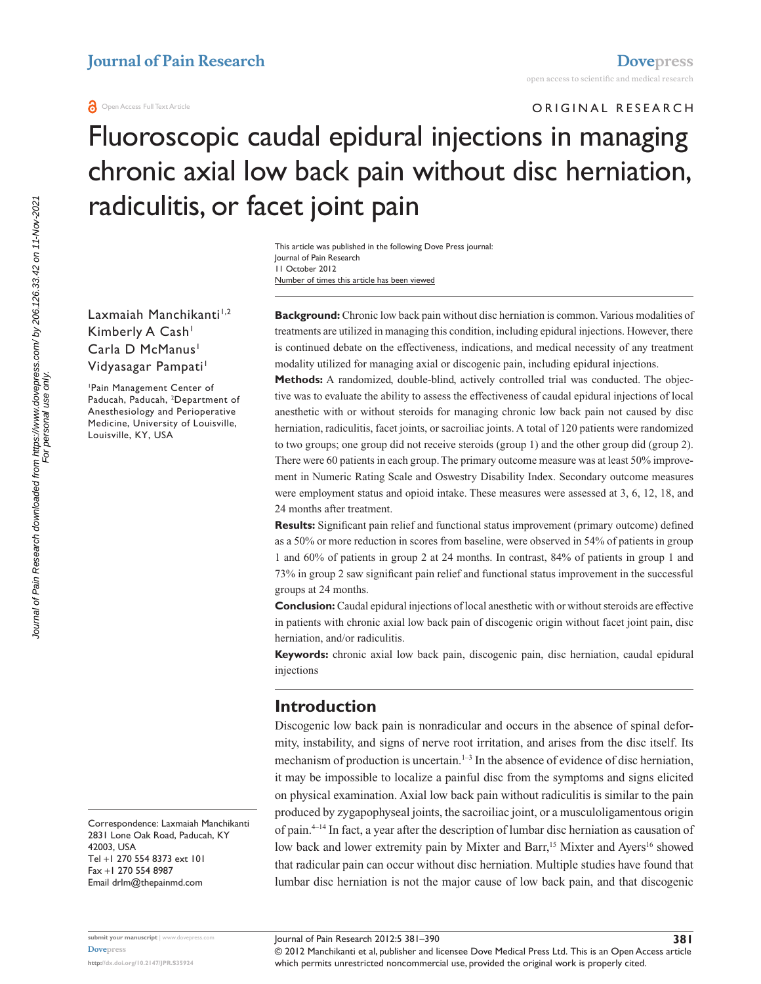ORIGINAL RESEARCH

# Fluoroscopic caudal epidural injections in managing chronic axial low back pain without disc herniation, radiculitis, or facet joint pain

Number of times this article has been viewed This article was published in the following Dove Press journal: Journal of Pain Research 11 October 2012

Laxmaiah Manchikanti<sup>1,2</sup> Kimberly A Cash<sup>1</sup> Carla D McManus<sup>1</sup> Vidyasagar Pampati<sup>1</sup>

1 Pain Management Center of Paducah, Paducah, 2 Department of Anesthesiology and Perioperative Medicine, University of Louisville, Louisville, KY, USA

**Background:** Chronic low back pain without disc herniation is common. Various modalities of treatments are utilized in managing this condition, including epidural injections. However, there is continued debate on the effectiveness, indications, and medical necessity of any treatment modality utilized for managing axial or discogenic pain, including epidural injections.

**Methods:** A randomized, double-blind, actively controlled trial was conducted. The objective was to evaluate the ability to assess the effectiveness of caudal epidural injections of local anesthetic with or without steroids for managing chronic low back pain not caused by disc herniation, radiculitis, facet joints, or sacroiliac joints. A total of 120 patients were randomized to two groups; one group did not receive steroids (group 1) and the other group did (group 2). There were 60 patients in each group. The primary outcome measure was at least 50% improvement in Numeric Rating Scale and Oswestry Disability Index. Secondary outcome measures were employment status and opioid intake. These measures were assessed at 3, 6, 12, 18, and 24 months after treatment.

**Results:** Significant pain relief and functional status improvement (primary outcome) defined as a 50% or more reduction in scores from baseline, were observed in 54% of patients in group 1 and 60% of patients in group 2 at 24 months. In contrast, 84% of patients in group 1 and 73% in group 2 saw significant pain relief and functional status improvement in the successful groups at 24 months.

**Conclusion:** Caudal epidural injections of local anesthetic with or without steroids are effective in patients with chronic axial low back pain of discogenic origin without facet joint pain, disc herniation, and/or radiculitis.

**Keywords:** chronic axial low back pain, discogenic pain, disc herniation, caudal epidural injections

# **Introduction**

Discogenic low back pain is nonradicular and occurs in the absence of spinal deformity, instability, and signs of nerve root irritation, and arises from the disc itself. Its mechanism of production is uncertain. $1-3$  In the absence of evidence of disc herniation, it may be impossible to localize a painful disc from the symptoms and signs elicited on physical examination. Axial low back pain without radiculitis is similar to the pain produced by zygapophyseal joints, the sacroiliac joint, or a musculoligamentous origin of pain.4–14 In fact, a year after the description of lumbar disc herniation as causation of low back and lower extremity pain by Mixter and Barr,<sup>15</sup> Mixter and Ayers<sup>16</sup> showed that radicular pain can occur without disc herniation. Multiple studies have found that lumbar disc herniation is not the major cause of low back pain, and that discogenic

Correspondence: Laxmaiah Manchikanti 2831 Lone Oak Road, Paducah, KY 42003, USA Tel +1 270 554 8373 ext 101 Fax +1 270 554 8987 Email [drlm@thepainmd.com](mailto:drlm@thepainmd.com)

**submit your manuscript** | <www.dovepress.com> **[Dovepress](www.dovepress.com)**

**<http://dx.doi.org/10.2147/JPR.S35924>**

© 2012 Manchikanti et al, publisher and licensee Dove Medical Press Ltd. This is an Open Access article which permits unrestricted noncommercial use, provided the original work is properly cited.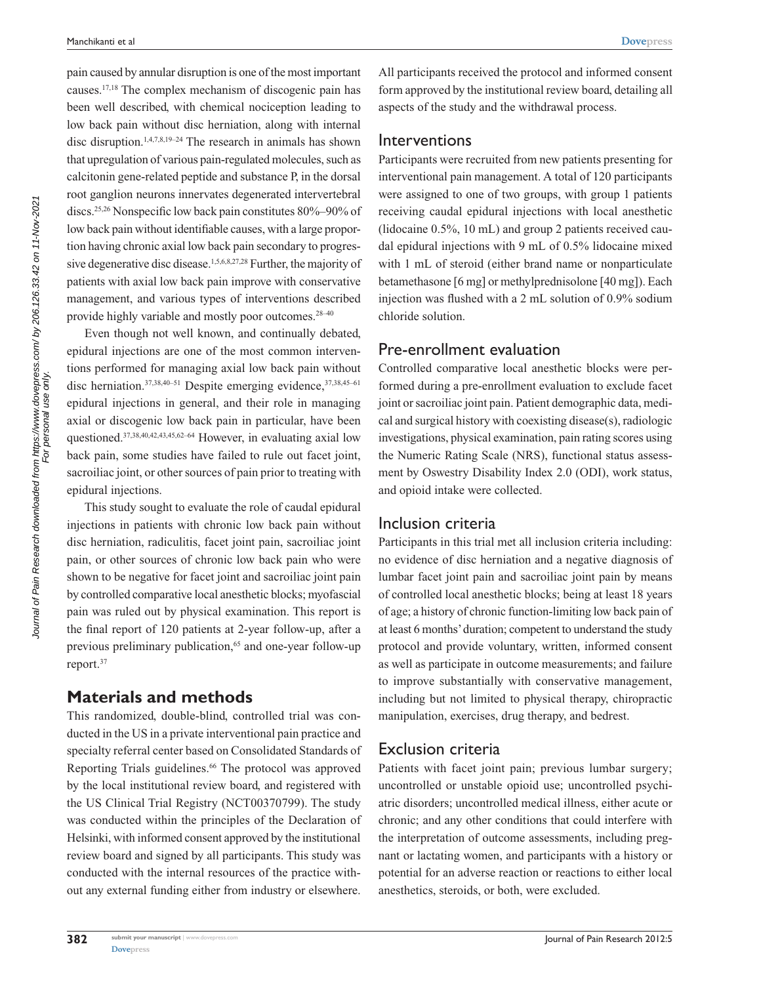pain caused by annular disruption is one of the most important causes.17,18 The complex mechanism of discogenic pain has been well described, with chemical nociception leading to low back pain without disc herniation, along with internal disc disruption.1,4,7,8,19–24 The research in animals has shown that upregulation of various pain-regulated molecules, such as calcitonin gene-related peptide and substance P, in the dorsal root ganglion neurons innervates degenerated intervertebral discs.25,26 Nonspecific low back pain constitutes 80%–90% of low back pain without identifiable causes, with a large proportion having chronic axial low back pain secondary to progressive degenerative disc disease.<sup>1,5,6,8,27,28</sup> Further, the majority of patients with axial low back pain improve with conservative management, and various types of interventions described provide highly variable and mostly poor outcomes.<sup>28-40</sup>

Even though not well known, and continually debated, epidural injections are one of the most common interventions performed for managing axial low back pain without disc herniation. $37,38,40-51$  Despite emerging evidence,  $37,38,45-61$ epidural injections in general, and their role in managing axial or discogenic low back pain in particular, have been questioned.<sup>37,38,40,42,43,45,62-64</sup> However, in evaluating axial low back pain, some studies have failed to rule out facet joint, sacroiliac joint, or other sources of pain prior to treating with epidural injections.

This study sought to evaluate the role of caudal epidural injections in patients with chronic low back pain without disc herniation, radiculitis, facet joint pain, sacroiliac joint pain, or other sources of chronic low back pain who were shown to be negative for facet joint and sacroiliac joint pain by controlled comparative local anesthetic blocks; myofascial pain was ruled out by physical examination. This report is the final report of 120 patients at 2-year follow-up, after a previous preliminary publication,<sup>65</sup> and one-year follow-up report.37

## **Materials and methods**

This randomized, double-blind, controlled trial was conducted in the US in a private interventional pain practice and specialty referral center based on Consolidated Standards of Reporting Trials guidelines.<sup>66</sup> The protocol was approved by the local institutional review board, and registered with the US Clinical Trial Registry (NCT00370799). The study was conducted within the principles of the Declaration of Helsinki, with informed consent approved by the institutional review board and signed by all participants. This study was conducted with the internal resources of the practice without any external funding either from industry or elsewhere.

All participants received the protocol and informed consent form approved by the institutional review board, detailing all aspects of the study and the withdrawal process.

#### Interventions

Participants were recruited from new patients presenting for interventional pain management. A total of 120 participants were assigned to one of two groups, with group 1 patients receiving caudal epidural injections with local anesthetic (lidocaine 0.5%, 10 mL) and group 2 patients received caudal epidural injections with 9 mL of 0.5% lidocaine mixed with 1 mL of steroid (either brand name or nonparticulate betamethasone [6 mg] or methylprednisolone [40 mg]). Each injection was flushed with a 2 mL solution of 0.9% sodium chloride solution.

## Pre-enrollment evaluation

Controlled comparative local anesthetic blocks were performed during a pre-enrollment evaluation to exclude facet joint or sacroiliac joint pain. Patient demographic data, medical and surgical history with coexisting disease(s), radiologic investigations, physical examination, pain rating scores using the Numeric Rating Scale (NRS), functional status assessment by Oswestry Disability Index 2.0 (ODI), work status, and opioid intake were collected.

## Inclusion criteria

Participants in this trial met all inclusion criteria including: no evidence of disc herniation and a negative diagnosis of lumbar facet joint pain and sacroiliac joint pain by means of controlled local anesthetic blocks; being at least 18 years of age; a history of chronic function-limiting low back pain of at least 6 months' duration; competent to understand the study protocol and provide voluntary, written, informed consent as well as participate in outcome measurements; and failure to improve substantially with conservative management, including but not limited to physical therapy, chiropractic manipulation, exercises, drug therapy, and bedrest.

# Exclusion criteria

Patients with facet joint pain; previous lumbar surgery; uncontrolled or unstable opioid use; uncontrolled psychiatric disorders; uncontrolled medical illness, either acute or chronic; and any other conditions that could interfere with the interpretation of outcome assessments, including pregnant or lactating women, and participants with a history or potential for an adverse reaction or reactions to either local anesthetics, steroids, or both, were excluded.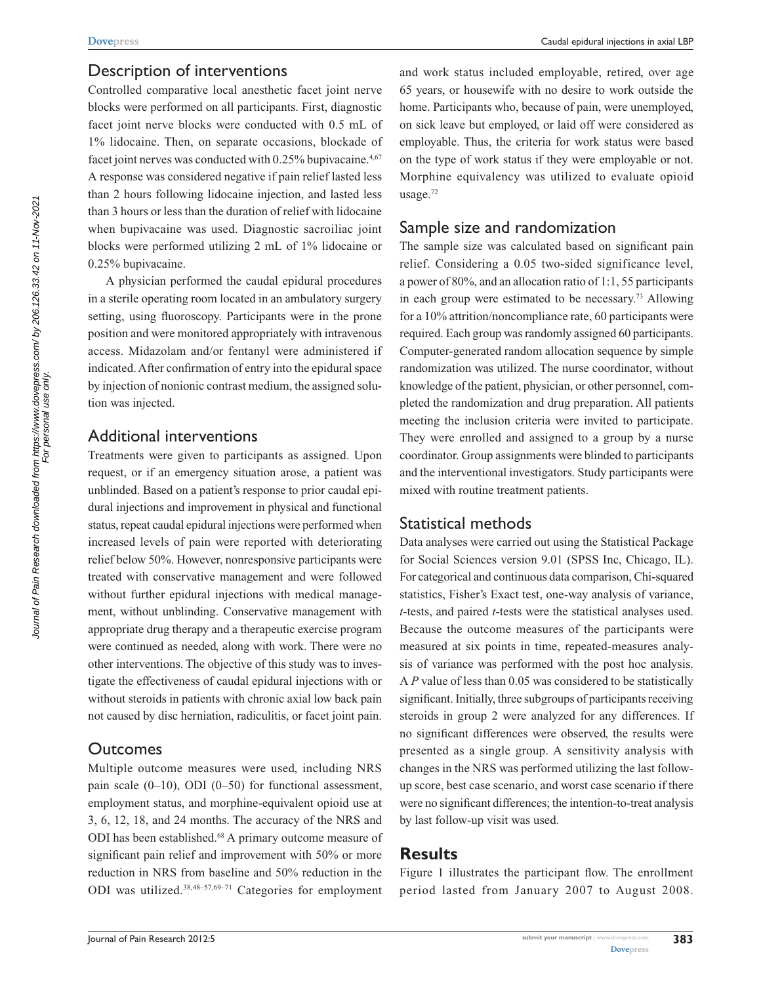## Description of interventions

Controlled comparative local anesthetic facet joint nerve blocks were performed on all participants. First, diagnostic facet joint nerve blocks were conducted with 0.5 mL of 1% lidocaine. Then, on separate occasions, blockade of facet joint nerves was conducted with  $0.25\%$  bupivacaine.<sup>4,67</sup> A response was considered negative if pain relief lasted less than 2 hours following lidocaine injection, and lasted less than 3 hours or less than the duration of relief with lidocaine when bupivacaine was used. Diagnostic sacroiliac joint blocks were performed utilizing 2 mL of 1% lidocaine or 0.25% bupivacaine.

A physician performed the caudal epidural procedures in a sterile operating room located in an ambulatory surgery setting, using fluoroscopy. Participants were in the prone position and were monitored appropriately with intravenous access. Midazolam and/or fentanyl were administered if indicated. After confirmation of entry into the epidural space by injection of nonionic contrast medium, the assigned solution was injected.

## Additional interventions

Treatments were given to participants as assigned. Upon request, or if an emergency situation arose, a patient was unblinded. Based on a patient's response to prior caudal epidural injections and improvement in physical and functional status, repeat caudal epidural injections were performed when increased levels of pain were reported with deteriorating relief below 50%. However, nonresponsive participants were treated with conservative management and were followed without further epidural injections with medical management, without unblinding. Conservative management with appropriate drug therapy and a therapeutic exercise program were continued as needed, along with work. There were no other interventions. The objective of this study was to investigate the effectiveness of caudal epidural injections with or without steroids in patients with chronic axial low back pain not caused by disc herniation, radiculitis, or facet joint pain.

# **Outcomes**

Multiple outcome measures were used, including NRS pain scale  $(0-10)$ , ODI  $(0-50)$  for functional assessment, employment status, and morphine-equivalent opioid use at 3, 6, 12, 18, and 24 months. The accuracy of the NRS and ODI has been established.<sup>68</sup> A primary outcome measure of significant pain relief and improvement with 50% or more reduction in NRS from baseline and 50% reduction in the ODI was utilized.38,48–57,69–71 Categories for employment and work status included employable, retired, over age 65 years, or housewife with no desire to work outside the home. Participants who, because of pain, were unemployed, on sick leave but employed, or laid off were considered as employable. Thus, the criteria for work status were based on the type of work status if they were employable or not. Morphine equivalency was utilized to evaluate opioid usage.72

# Sample size and randomization

The sample size was calculated based on significant pain relief. Considering a 0.05 two-sided significance level, a power of 80%, and an allocation ratio of 1:1, 55 participants in each group were estimated to be necessary.73 Allowing for a 10% attrition/noncompliance rate, 60 participants were required. Each group was randomly assigned 60 participants. Computer-generated random allocation sequence by simple randomization was utilized. The nurse coordinator, without knowledge of the patient, physician, or other personnel, completed the randomization and drug preparation. All patients meeting the inclusion criteria were invited to participate. They were enrolled and assigned to a group by a nurse coordinator. Group assignments were blinded to participants and the interventional investigators. Study participants were mixed with routine treatment patients.

## Statistical methods

Data analyses were carried out using the Statistical Package for Social Sciences version 9.01 (SPSS Inc, Chicago, IL). For categorical and continuous data comparison, Chi-squared statistics, Fisher's Exact test, one-way analysis of variance, *t*-tests, and paired *t*-tests were the statistical analyses used. Because the outcome measures of the participants were measured at six points in time, repeated-measures analysis of variance was performed with the post hoc analysis. A *P* value of less than 0.05 was considered to be statistically significant. Initially, three subgroups of participants receiving steroids in group 2 were analyzed for any differences. If no significant differences were observed, the results were presented as a single group. A sensitivity analysis with changes in the NRS was performed utilizing the last followup score, best case scenario, and worst case scenario if there were no significant differences; the intention-to-treat analysis by last follow-up visit was used.

# **Results**

Figure 1 illustrates the participant flow. The enrollment period lasted from January 2007 to August 2008.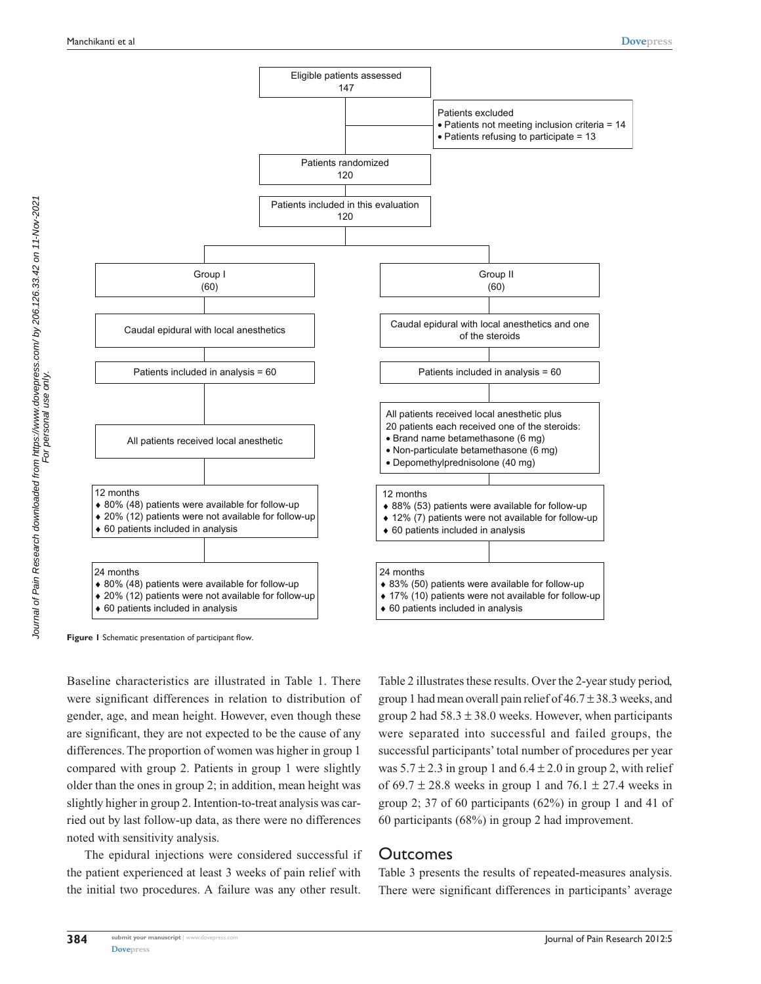

**Figure 1** Schematic presentation of participant flow.

Baseline characteristics are illustrated in Table 1. There were significant differences in relation to distribution of gender, age, and mean height. However, even though these are significant, they are not expected to be the cause of any differences. The proportion of women was higher in group 1 compared with group 2. Patients in group 1 were slightly older than the ones in group 2; in addition, mean height was slightly higher in group 2. Intention-to-treat analysis was carried out by last follow-up data, as there were no differences noted with sensitivity analysis.

The epidural injections were considered successful if the patient experienced at least 3 weeks of pain relief with the initial two procedures. A failure was any other result.

Table 2 illustrates these results. Over the 2-year study period, group 1 had mean overall pain relief of  $46.7 \pm 38.3$  weeks, and group 2 had  $58.3 \pm 38.0$  weeks. However, when participants were separated into successful and failed groups, the successful participants' total number of procedures per year was  $5.7 \pm 2.3$  in group 1 and  $6.4 \pm 2.0$  in group 2, with relief of 69.7  $\pm$  28.8 weeks in group 1 and 76.1  $\pm$  27.4 weeks in group 2; 37 of 60 participants (62%) in group 1 and 41 of 60 participants (68%) in group 2 had improvement.

#### **Outcomes**

Table 3 presents the results of repeated-measures analysis. There were significant differences in participants' average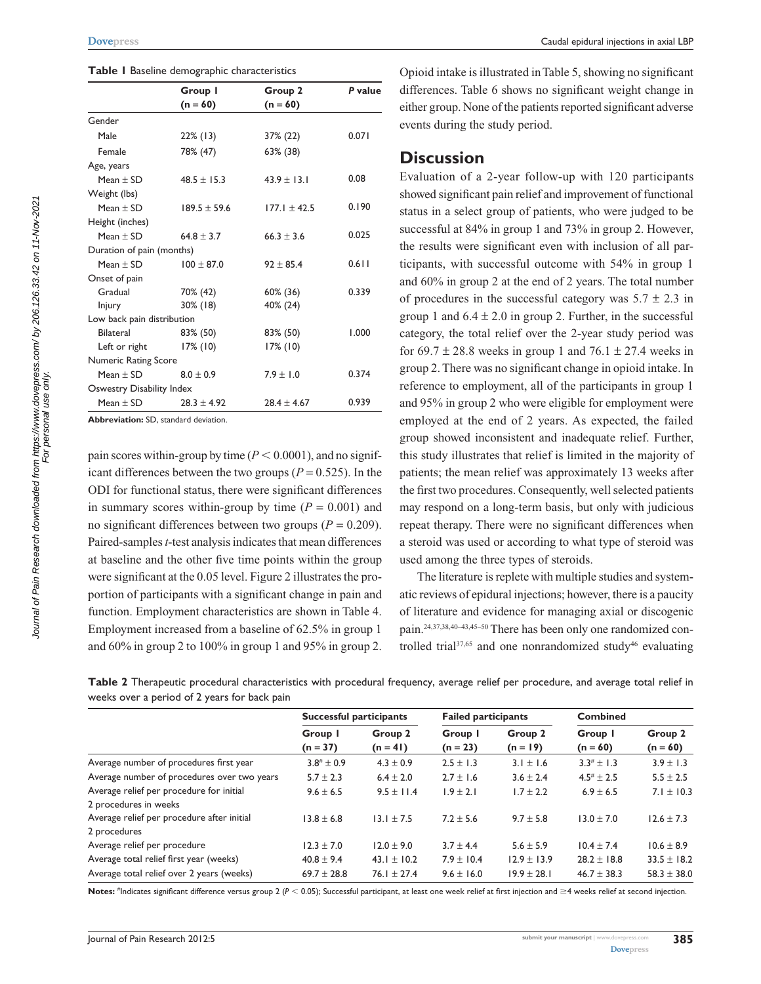|  |  |  | Table I Baseline demographic characteristics |
|--|--|--|----------------------------------------------|
|--|--|--|----------------------------------------------|

|                             | Group I          | Group 2          | P value |
|-----------------------------|------------------|------------------|---------|
|                             | $(n = 60)$       | $(n = 60)$       |         |
| Gender                      |                  |                  |         |
| Male                        | $22\%$ (13)      | 37% (22)         | 0.071   |
| Female                      | 78% (47)         | 63% (38)         |         |
| Age, years                  |                  |                  |         |
| Mean $\pm$ SD               | $48.5 \pm 15.3$  | $43.9 \pm 13.1$  | 0.08    |
| Weight (lbs)                |                  |                  |         |
| Mean $\pm$ SD               | $189.5 \pm 59.6$ | $177.1 \pm 42.5$ | 0.190   |
| Height (inches)             |                  |                  |         |
| Mean $\pm$ SD               | $64.8 \pm 3.7$   | $66.3 \pm 3.6$   | 0.025   |
| Duration of pain (months)   |                  |                  |         |
| Mean $\pm$ SD               | $100 \pm 87.0$   | $92 \pm 85.4$    | 0.611   |
| Onset of pain               |                  |                  |         |
| Gradual                     | 70% (42)         | 60% (36)         | 0.339   |
| <b>Injury</b>               | $30\%$ (18)      | 40% (24)         |         |
| Low back pain distribution  |                  |                  |         |
| <b>Bilateral</b>            | 83% (50)         | 83% (50)         | 1.000   |
| Left or right               | $17\%$ (10)      | $17\%$ (10)      |         |
| <b>Numeric Rating Score</b> |                  |                  |         |
| Mean $\pm$ SD               | $8.0 \pm 0.9$    | $7.9 \pm 1.0$    | 0.374   |
| Oswestry Disability Index   |                  |                  |         |
| Mean $\pm$ SD               | $28.3 \pm 4.92$  | $28.4 \pm 4.67$  | 0.939   |
|                             |                  |                  |         |

**Abbreviation:** SD, standard deviation.

pain scores within-group by time  $(P < 0.0001)$ , and no significant differences between the two groups ( $P = 0.525$ ). In the ODI for functional status, there were significant differences in summary scores within-group by time  $(P = 0.001)$  and no significant differences between two groups  $(P = 0.209)$ . Paired-samples *t*-test analysis indicates that mean differences at baseline and the other five time points within the group were significant at the 0.05 level. Figure 2 illustrates the proportion of participants with a significant change in pain and function. Employment characteristics are shown in Table 4. Employment increased from a baseline of 62.5% in group 1 and 60% in group 2 to 100% in group 1 and 95% in group 2.

Opioid intake is illustrated in Table 5, showing no significant differences. Table 6 shows no significant weight change in either group. None of the patients reported significant adverse events during the study period.

#### **Discussion**

Evaluation of a 2-year follow-up with 120 participants showed significant pain relief and improvement of functional status in a select group of patients, who were judged to be successful at 84% in group 1 and 73% in group 2. However, the results were significant even with inclusion of all participants, with successful outcome with 54% in group 1 and 60% in group 2 at the end of 2 years. The total number of procedures in the successful category was  $5.7 \pm 2.3$  in group 1 and  $6.4 \pm 2.0$  in group 2. Further, in the successful category, the total relief over the 2-year study period was for 69.7  $\pm$  28.8 weeks in group 1 and 76.1  $\pm$  27.4 weeks in group 2. There was no significant change in opioid intake. In reference to employment, all of the participants in group 1 and 95% in group 2 who were eligible for employment were employed at the end of 2 years. As expected, the failed group showed inconsistent and inadequate relief. Further, this study illustrates that relief is limited in the majority of patients; the mean relief was approximately 13 weeks after the first two procedures. Consequently, well selected patients may respond on a long-term basis, but only with judicious repeat therapy. There were no significant differences when a steroid was used or according to what type of steroid was used among the three types of steroids.

The literature is replete with multiple studies and systematic reviews of epidural injections; however, there is a paucity of literature and evidence for managing axial or discogenic pain.24,37,38,40–43,45–50 There has been only one randomized controlled trial $37,65$  and one nonrandomized study<sup>46</sup> evaluating

**Table 2** Therapeutic procedural characteristics with procedural frequency, average relief per procedure, and average total relief in weeks over a period of 2 years for back pain

|                                             | Successful participants |                       | <b>Failed participants</b> |                       | <b>Combined</b>       |                       |
|---------------------------------------------|-------------------------|-----------------------|----------------------------|-----------------------|-----------------------|-----------------------|
|                                             | Group I<br>$(n = 37)$   | Group 2<br>$(n = 41)$ | Group I<br>$(n = 23)$      | Group 2<br>$(n = 19)$ | Group I<br>$(n = 60)$ | Group 2<br>$(n = 60)$ |
| Average number of procedures first year     | $3.8^{#} \pm 0.9$       | $4.3 \pm 0.9$         | $2.5 \pm 1.3$              | $3.1 \pm 1.6$         | $3.3^{\#}$ ± 1.3      | $3.9 \pm 1.3$         |
| Average number of procedures over two years | $5.7 \pm 2.3$           | $6.4 \pm 2.0$         | $2.7 \pm 1.6$              | $3.6 \pm 2.4$         | $4.5^{\#}$ ± 2.5      | $5.5 \pm 2.5$         |
| Average relief per procedure for initial    | $9.6 \pm 6.5$           | $9.5 \pm 11.4$        | $1.9 \pm 2.1$              | $1.7 \pm 2.2$         | $6.9 \pm 6.5$         | $7.1 \pm 10.3$        |
| 2 procedures in weeks                       |                         |                       |                            |                       |                       |                       |
| Average relief per procedure after initial  | $13.8 \pm 6.8$          | $13.1 \pm 7.5$        | $7.2 \pm 5.6$              | $9.7 \pm 5.8$         | $13.0 \pm 7.0$        | $12.6 \pm 7.3$        |
| 2 procedures                                |                         |                       |                            |                       |                       |                       |
| Average relief per procedure                | $12.3 \pm 7.0$          | $12.0 \pm 9.0$        | $3.7 \pm 4.4$              | $5.6 \pm 5.9$         | $10.4 \pm 7.4$        | $10.6 \pm 8.9$        |
| Average total relief first year (weeks)     | $40.8 \pm 9.4$          | 43.1 $\pm$ 10.2       | $7.9 \pm 10.4$             | $12.9 \pm 13.9$       | $28.2 \pm 18.8$       | $33.5 \pm 18.2$       |
| Average total relief over 2 years (weeks)   | $69.7 \pm 28.8$         | 76.1 $\pm$ 27.4       | $9.6 \pm 16.0$             | $19.9 \pm 28.1$       | $46.7 \pm 38.3$       | $58.3 \pm 38.0$       |

Notes: <sup>#</sup>Indicates significant difference versus group 2 (*P* < 0.05); Successful participant, at least one week relief at first injection and ≥4 weeks relief at second injection.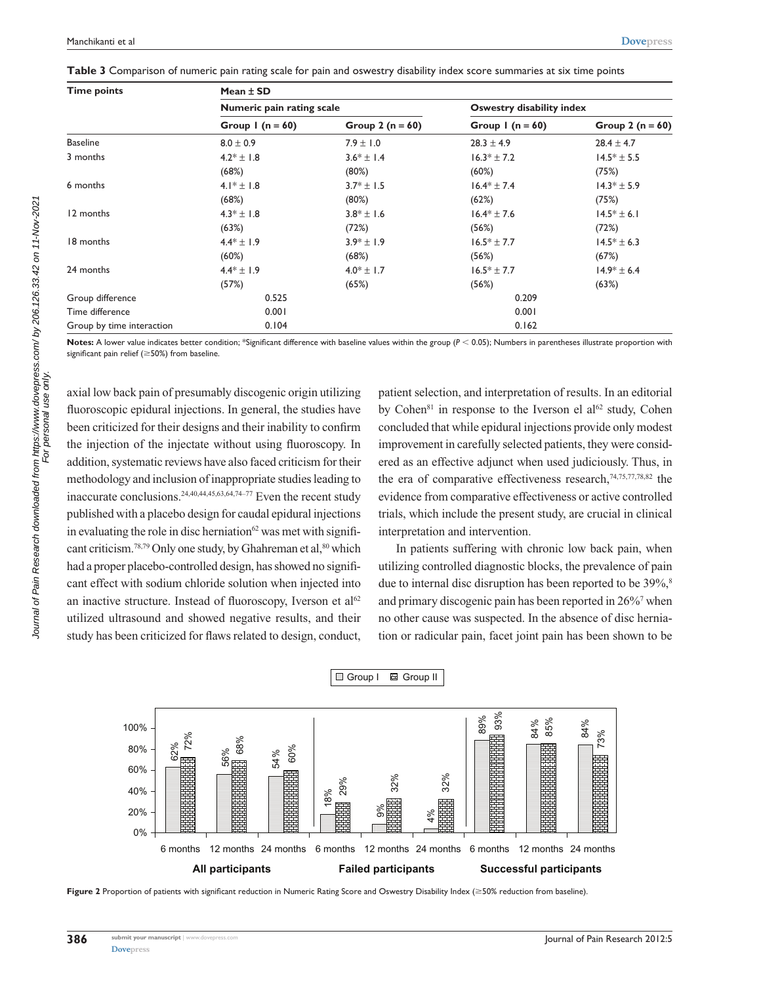| <b>Time points</b>        | Mean $\pm$ SD             |                    |                           |                    |  |  |
|---------------------------|---------------------------|--------------------|---------------------------|--------------------|--|--|
|                           | Numeric pain rating scale |                    | Oswestry disability index |                    |  |  |
|                           | Group $1(n = 60)$         | Group 2 $(n = 60)$ | Group $1(n = 60)$         | Group 2 $(n = 60)$ |  |  |
| <b>Baseline</b>           | $8.0 \pm 0.9$             | $7.9 \pm 1.0$      | $28.3 \pm 4.9$            | $28.4 \pm 4.7$     |  |  |
| 3 months                  | $4.2* \pm 1.8$            | $3.6* \pm 1.4$     | $16.3* \pm 7.2$           | $14.5* \pm 5.5$    |  |  |
|                           | (68%)                     | (80%)              | (60%)                     | (75%)              |  |  |
| 6 months                  | 4.1 <sup>*</sup> ± 1.8    | $3.7* \pm 1.5$     | $16.4* \pm 7.4$           | $14.3* \pm 5.9$    |  |  |
|                           | (68%)                     | (80%)              | (62%)                     | (75%)              |  |  |
| 12 months                 | $4.3* \pm 1.8$            | $3.8* \pm 1.6$     | $16.4* \pm 7.6$           | $14.5* \pm 6.1$    |  |  |
|                           | (63%)                     | (72%)              | (56%)                     | (72%)              |  |  |
| 18 months                 | $4.4* \pm 1.9$            | $3.9* \pm 1.9$     | $16.5* \pm 7.7$           | $14.5* \pm 6.3$    |  |  |
|                           | (60%)                     | (68%)              | (56%)                     | (67%)              |  |  |
| 24 months                 | $4.4* \pm 1.9$            | $4.0* \pm 1.7$     | $16.5* \pm 7.7$           | $14.9* \pm 6.4$    |  |  |
|                           | (57%)                     | (65%)              | (56%)                     | (63%)              |  |  |
| Group difference          | 0.525                     |                    | 0.209                     |                    |  |  |
| Time difference           | 0.001                     |                    | 0.001                     |                    |  |  |
| Group by time interaction | 0.104                     |                    | 0.162                     |                    |  |  |

Notes: A lower value indicates better condition; \*Significant difference with baseline values within the group ( $P < 0.05$ ); Numbers in parentheses illustrate proportion with significant pain relief ( $\geq$ 50%) from baseline.

axial low back pain of presumably discogenic origin utilizing fluoroscopic epidural injections. In general, the studies have been criticized for their designs and their inability to confirm the injection of the injectate without using fluoroscopy. In addition, systematic reviews have also faced criticism for their methodology and inclusion of inappropriate studies leading to inaccurate conclusions.24,40,44,45,63,64,74–77 Even the recent study published with a placebo design for caudal epidural injections in evaluating the role in disc herniation $62$  was met with significant criticism.<sup>78,79</sup> Only one study, by Ghahreman et al,<sup>80</sup> which had a proper placebo-controlled design, has showed no significant effect with sodium chloride solution when injected into an inactive structure. Instead of fluoroscopy, Iverson et  $al<sup>62</sup>$ utilized ultrasound and showed negative results, and their study has been criticized for flaws related to design, conduct, patient selection, and interpretation of results. In an editorial by Cohen<sup>81</sup> in response to the Iverson el al<sup>62</sup> study, Cohen concluded that while epidural injections provide only modest improvement in carefully selected patients, they were considered as an effective adjunct when used judiciously. Thus, in the era of comparative effectiveness research, $74,75,77,78,82$  the evidence from comparative effectiveness or active controlled trials, which include the present study, are crucial in clinical interpretation and intervention.

In patients suffering with chronic low back pain, when utilizing controlled diagnostic blocks, the prevalence of pain due to internal disc disruption has been reported to be 39%,<sup>8</sup> and primary discogenic pain has been reported in 26%7 when no other cause was suspected. In the absence of disc herniation or radicular pain, facet joint pain has been shown to be



Figure 2 Proportion of patients with significant reduction in Numeric Rating Score and Oswestry Disability Index ( $\geq$ 50% reduction from baseline).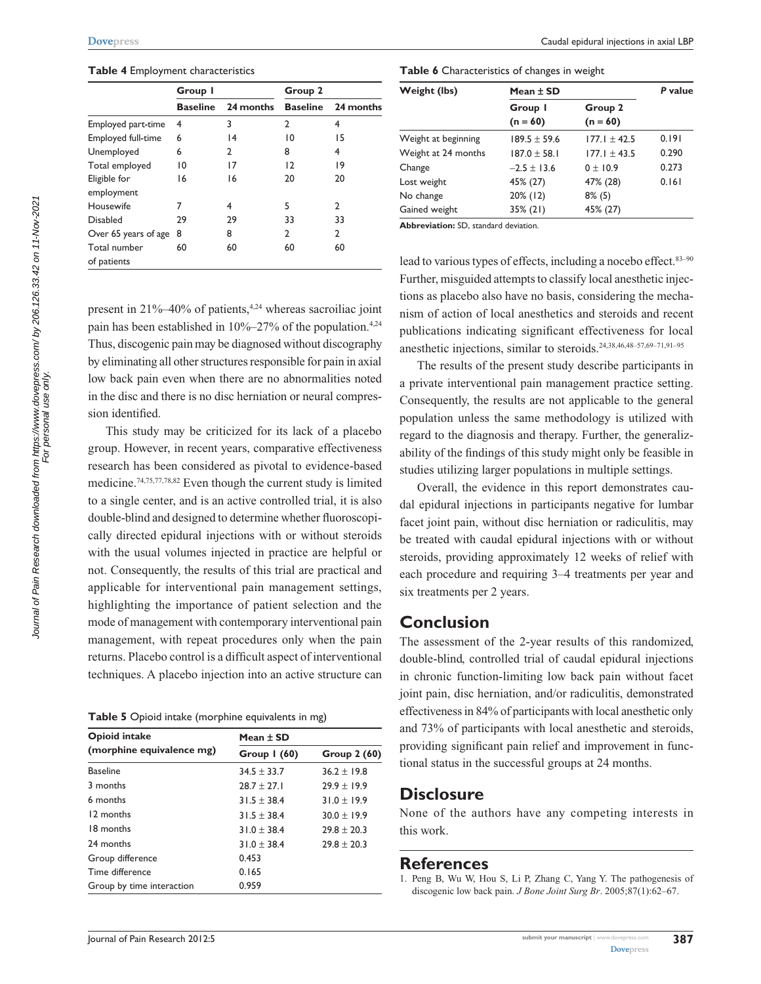#### **Table 4** Employment characteristics

|                      | Group I         |                 | Group 2         |           |  |
|----------------------|-----------------|-----------------|-----------------|-----------|--|
|                      | <b>Baseline</b> | 24 months       | <b>Baseline</b> | 24 months |  |
| Employed part-time   | 4               | 3               | $\overline{2}$  | 4         |  |
| Employed full-time   | 6               | $\overline{14}$ | 10              | 15        |  |
| Unemployed           | 6               | 2               | 8               | 4         |  |
| Total employed       | $\overline{10}$ | 17              | 12              | 19        |  |
| Eligible for         | 16              | 16              | 20              | 20        |  |
| employment           |                 |                 |                 |           |  |
| Housewife            | 7               | 4               | 5               | 2         |  |
| <b>Disabled</b>      | 29              | 29              | 33              | 33        |  |
| Over 65 years of age | 8               | 8               | C.              | 2         |  |
| Total number         | 60              | 60              | 60              | 60        |  |
| of patients          |                 |                 |                 |           |  |

**Table 6** Characteristics of changes in weight

| Weight (lbs)        | Mean $\pm$ SD    | P value          |       |  |
|---------------------|------------------|------------------|-------|--|
|                     | Group I          | Group 2          |       |  |
|                     | $(n = 60)$       | $(n = 60)$       |       |  |
| Weight at beginning | $189.5 \pm 59.6$ | $177.1 + 42.5$   | 0.191 |  |
| Weight at 24 months | $187.0 \pm 58.1$ | $177.1 \pm 43.5$ | 0.290 |  |
| Change              | $-2.5 \pm 13.6$  | $0 + 10.9$       | 0.273 |  |
| Lost weight         | 45% (27)         | 47% (28)         | 0.161 |  |
| No change           | 20% (12)         | $8\%$ (5)        |       |  |
| Gained weight       | $35\%$ (21)      | 45% (27)         |       |  |

**Abbreviation:** SD, standard deviation.

present in 21%–40% of patients,<sup>4,24</sup> whereas sacroiliac joint pain has been established in  $10\% - 27\%$  of the population.<sup>4,24</sup> Thus, discogenic pain may be diagnosed without discography by eliminating all other structures responsible for pain in axial low back pain even when there are no abnormalities noted in the disc and there is no disc herniation or neural compression identified.

This study may be criticized for its lack of a placebo group. However, in recent years, comparative effectiveness research has been considered as pivotal to evidence-based medicine.74,75,77,78,82 Even though the current study is limited to a single center, and is an active controlled trial, it is also double-blind and designed to determine whether fluoroscopically directed epidural injections with or without steroids with the usual volumes injected in practice are helpful or not. Consequently, the results of this trial are practical and applicable for interventional pain management settings, highlighting the importance of patient selection and the mode of management with contemporary interventional pain management, with repeat procedures only when the pain returns. Placebo control is a difficult aspect of interventional techniques. A placebo injection into an active structure can

**Table 5** Opioid intake (morphine equivalents in mg)

| <b>Opioid intake</b>      | Mean $\pm$ SD   |                 |  |  |
|---------------------------|-----------------|-----------------|--|--|
| (morphine equivalence mg) | Group $(60)$    | Group 2 (60)    |  |  |
| <b>Baseline</b>           | $34.5 \pm 33.7$ | $36.2 \pm 19.8$ |  |  |
| 3 months                  | $28.7 \pm 27.1$ | $29.9 \pm 19.9$ |  |  |
| 6 months                  | $31.5 \pm 38.4$ | $31.0 \pm 19.9$ |  |  |
| 12 months                 | $31.5 \pm 38.4$ | $30.0 \pm 19.9$ |  |  |
| 18 months                 | $31.0 \pm 38.4$ | $29.8 \pm 20.3$ |  |  |
| 24 months                 | $31.0 \pm 38.4$ | $29.8 \pm 20.3$ |  |  |
| Group difference          | 0.453           |                 |  |  |
| Time difference           | 0.165           |                 |  |  |
| Group by time interaction | 0.959           |                 |  |  |

lead to various types of effects, including a nocebo effect. 83-90 Further, misguided attempts to classify local anesthetic injections as placebo also have no basis, considering the mechanism of action of local anesthetics and steroids and recent publications indicating significant effectiveness for local anesthetic injections, similar to steroids.24,38,46,48–57,69–71,91–95

The results of the present study describe participants in a private interventional pain management practice setting. Consequently, the results are not applicable to the general population unless the same methodology is utilized with regard to the diagnosis and therapy. Further, the generalizability of the findings of this study might only be feasible in studies utilizing larger populations in multiple settings.

Overall, the evidence in this report demonstrates caudal epidural injections in participants negative for lumbar facet joint pain, without disc herniation or radiculitis, may be treated with caudal epidural injections with or without steroids, providing approximately 12 weeks of relief with each procedure and requiring 3–4 treatments per year and six treatments per 2 years.

## **Conclusion**

The assessment of the 2-year results of this randomized, double-blind, controlled trial of caudal epidural injections in chronic function-limiting low back pain without facet joint pain, disc herniation, and/or radiculitis, demonstrated effectiveness in 84% of participants with local anesthetic only and 73% of participants with local anesthetic and steroids, providing significant pain relief and improvement in functional status in the successful groups at 24 months.

# **Disclosure**

None of the authors have any competing interests in this work.

#### **References**

For personal use only.

<sup>1.</sup> Peng B, Wu W, Hou S, Li P, Zhang C, Yang Y. The pathogenesis of discogenic low back pain. *J Bone Joint Surg Br*. 2005;87(1):62–67.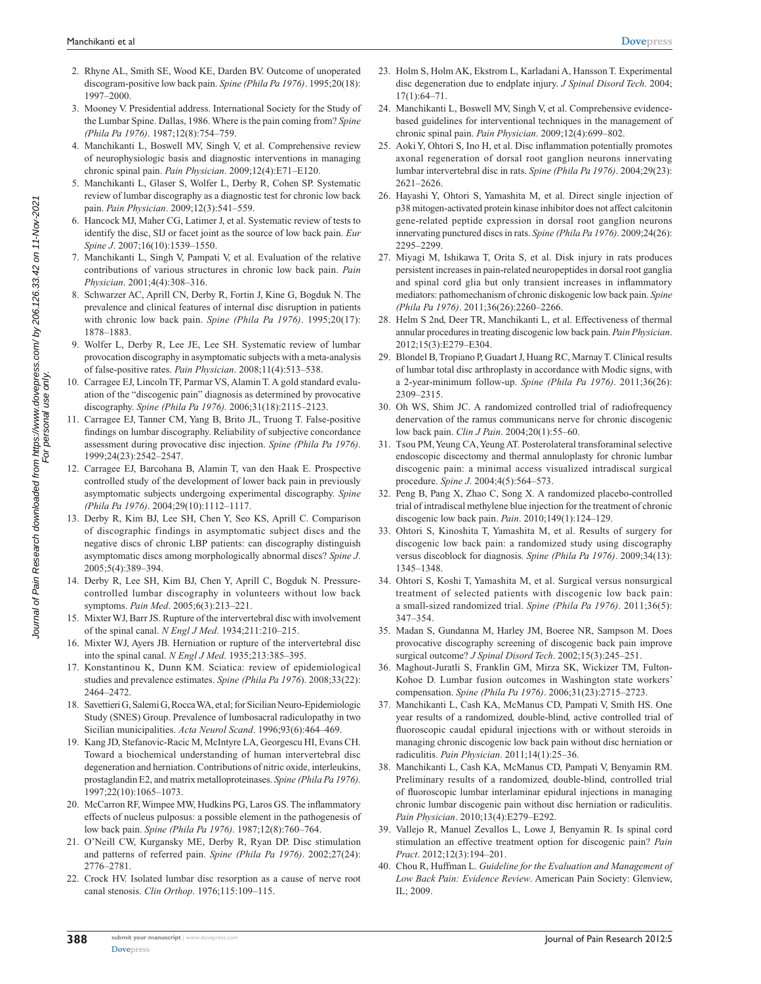- 2. Rhyne AL, Smith SE, Wood KE, Darden BV. Outcome of unoperated discogram-positive low back pain. *Spine (Phila Pa 1976)*. 1995;20(18): 1997–2000.
- 3. Mooney V. Presidential address. International Society for the Study of the Lumbar Spine. Dallas, 1986. Where is the pain coming from? *Spine (Phila Pa 1976)*. 1987;12(8):754–759.
- 4. Manchikanti L, Boswell MV, Singh V, et al. Comprehensive review of neurophysiologic basis and diagnostic interventions in managing chronic spinal pain. *Pain Physician*. 2009;12(4):E71–E120.
- 5. Manchikanti L, Glaser S, Wolfer L, Derby R, Cohen SP. Systematic review of lumbar discography as a diagnostic test for chronic low back pain. *Pain Physician*. 2009;12(3):541–559.
- 6. Hancock MJ, Maher CG, Latimer J, et al. Systematic review of tests to identify the disc, SIJ or facet joint as the source of low back pain. *Eur Spine J*. 2007;16(10):1539–1550.
- 7. Manchikanti L, Singh V, Pampati V, et al. Evaluation of the relative contributions of various structures in chronic low back pain. *Pain Physician*. 2001;4(4):308–316.
- 8. Schwarzer AC, Aprill CN, Derby R, Fortin J, Kine G, Bogduk N. The prevalence and clinical features of internal disc disruption in patients with chronic low back pain. *Spine (Phila Pa 1976)*. 1995;20(17): 1878–1883.
- 9. Wolfer L, Derby R, Lee JE, Lee SH. Systematic review of lumbar provocation discography in asymptomatic subjects with a meta-analysis of false-positive rates. *Pain Physician*. 2008;11(4):513–538.
- 10. Carragee EJ, Lincoln TF, Parmar VS, Alamin T. A gold standard evaluation of the "discogenic pain" diagnosis as determined by provocative discography. *Spine (Phila Pa 1976)*. 2006;31(18):2115–2123.
- 11. Carragee EJ, Tanner CM, Yang B, Brito JL, Truong T. False-positive findings on lumbar discography. Reliability of subjective concordance assessment during provocative disc injection. *Spine (Phila Pa 1976)*. 1999;24(23):2542–2547.
- 12. Carragee EJ, Barcohana B, Alamin T, van den Haak E. Prospective controlled study of the development of lower back pain in previously asymptomatic subjects undergoing experimental discography. *Spine (Phila Pa 1976)*. 2004;29(10):1112–1117.
- 13. Derby R, Kim BJ, Lee SH, Chen Y, Seo KS, Aprill C. Comparison of discographic findings in asymptomatic subject discs and the negative discs of chronic LBP patients: can discography distinguish asymptomatic discs among morphologically abnormal discs? *Spine J*. 2005;5(4):389–394.
- 14. Derby R, Lee SH, Kim BJ, Chen Y, Aprill C, Bogduk N. Pressurecontrolled lumbar discography in volunteers without low back symptoms. *Pain Med*. 2005;6(3):213–221.
- 15. Mixter WJ, Barr JS. Rupture of the intervertebral disc with involvement of the spinal canal. *N Engl J Med*. 1934;211:210–215.
- 16. Mixter WJ, Ayers JB. Herniation or rupture of the intervertebral disc into the spinal canal. *N Engl J Med*. 1935;213:385–395.
- 17. Konstantinou K, Dunn KM. Sciatica: review of epidemiological studies and prevalence estimates. *Spine (Phila Pa 1976*). 2008;33(22): 2464–2472.
- 18. Savettieri G, Salemi G, Rocca WA, et al; for Sicilian Neuro-Epidemiologic Study (SNES) Group. Prevalence of lumbosacral radiculopathy in two Sicilian municipalities. *Acta Neurol Scand*. 1996;93(6):464–469.
- 19. Kang JD, Stefanovic-Racic M, McIntyre LA, Georgescu HI, Evans CH. Toward a biochemical understanding of human intervertebral disc degeneration and herniation. Contributions of nitric oxide, interleukins, prostaglandin E2, and matrix metalloproteinases. *Spine (Phila Pa 1976)*. 1997;22(10):1065–1073.
- 20. McCarron RF, Wimpee MW, Hudkins PG, Laros GS. The inflammatory effects of nucleus pulposus: a possible element in the pathogenesis of low back pain. *Spine (Phila Pa 1976)*. 1987;12(8):760–764.
- 21. O'Neill CW, Kurgansky ME, Derby R, Ryan DP. Disc stimulation and patterns of referred pain. *Spine (Phila Pa 1976)*. 2002;27(24): 2776–2781.
- 22. Crock HV. Isolated lumbar disc resorption as a cause of nerve root canal stenosis. *Clin Orthop*. 1976;115:109–115.
- 23. Holm S, Holm AK, Ekstrom L, Karladani A, Hansson T. Experimental disc degeneration due to endplate injury. *J Spinal Disord Tech*. 2004; 17(1):64–71.
- 24. Manchikanti L, Boswell MV, Singh V, et al. Comprehensive evidencebased guidelines for interventional techniques in the management of chronic spinal pain. *Pain Physician*. 2009;12(4):699–802.
- 25. Aoki Y, Ohtori S, Ino H, et al. Disc inflammation potentially promotes axonal regeneration of dorsal root ganglion neurons innervating lumbar intervertebral disc in rats. *Spine (Phila Pa 1976)*. 2004;29(23): 2621–2626.
- 26. Hayashi Y, Ohtori S, Yamashita M, et al. Direct single injection of p38 mitogen-activated protein kinase inhibitor does not affect calcitonin gene-related peptide expression in dorsal root ganglion neurons innervating punctured discs in rats. *Spine (Phila Pa 1976)*. 2009;24(26): 2295–2299.
- 27. Miyagi M, Ishikawa T, Orita S, et al. Disk injury in rats produces persistent increases in pain-related neuropeptides in dorsal root ganglia and spinal cord glia but only transient increases in inflammatory mediators: pathomechanism of chronic diskogenic low back pain. *Spine (Phila Pa 1976)*. 2011;36(26):2260–2266.
- 28. Helm S 2nd, Deer TR, Manchikanti L, et al. Effectiveness of thermal annular procedures in treating discogenic low back pain. *Pain Physician*. 2012;15(3):E279–E304.
- 29. Blondel B, Tropiano P, Guadart J, Huang RC, Marnay T. Clinical results of lumbar total disc arthroplasty in accordance with Modic signs, with a 2-year-minimum follow-up. *Spine (Phila Pa 1976)*. 2011;36(26): 2309–2315.
- 30. Oh WS, Shim JC. A randomized controlled trial of radiofrequency denervation of the ramus communicans nerve for chronic discogenic low back pain. *Clin J Pain*. 2004;20(1):55–60.
- 31. Tsou PM, Yeung CA, Yeung AT. Posterolateral transforaminal selective endoscopic discectomy and thermal annuloplasty for chronic lumbar discogenic pain: a minimal access visualized intradiscal surgical procedure. *Spine J*. 2004;4(5):564–573.
- 32. Peng B, Pang X, Zhao C, Song X. A randomized placebo-controlled trial of intradiscal methylene blue injection for the treatment of chronic discogenic low back pain. *Pain*. 2010;149(1):124–129.
- 33. Ohtori S, Kinoshita T, Yamashita M, et al. Results of surgery for discogenic low back pain: a randomized study using discography versus discoblock for diagnosis. *Spine (Phila Pa 1976)*. 2009;34(13): 1345–1348.
- 34. Ohtori S, Koshi T, Yamashita M, et al. Surgical versus nonsurgical treatment of selected patients with discogenic low back pain: a small-sized randomized trial. *Spine (Phila Pa 1976)*. 2011;36(5): 347–354.
- 35. Madan S, Gundanna M, Harley JM, Boeree NR, Sampson M. Does provocative discography screening of discogenic back pain improve surgical outcome? *J Spinal Disord Tech*. 2002;15(3):245–251.
- 36. Maghout-Juratli S, Franklin GM, Mirza SK, Wickizer TM, Fulton-Kohoe D. Lumbar fusion outcomes in Washington state workers' compensation. *Spine (Phila Pa 1976)*. 2006;31(23):2715–2723.
- 37. Manchikanti L, Cash KA, McManus CD, Pampati V, Smith HS. One year results of a randomized, double-blind, active controlled trial of fluoroscopic caudal epidural injections with or without steroids in managing chronic discogenic low back pain without disc herniation or radiculitis. *Pain Physician*. 2011;14(1):25–36.
- 38. Manchikanti L, Cash KA, McManus CD, Pampati V, Benyamin RM. Preliminary results of a randomized, double-blind, controlled trial of fluoroscopic lumbar interlaminar epidural injections in managing chronic lumbar discogenic pain without disc herniation or radiculitis. *Pain Physician*. 2010;13(4):E279–E292.
- 39. Vallejo R, Manuel Zevallos L, Lowe J, Benyamin R. Is spinal cord stimulation an effective treatment option for discogenic pain? *Pain Pract*. 2012;12(3):194–201.
- 40. Chou R, Huffman L. *Guideline for the Evaluation and Management of Low Back Pain: Evidence Review*. American Pain Society: Glenview, IL; 2009.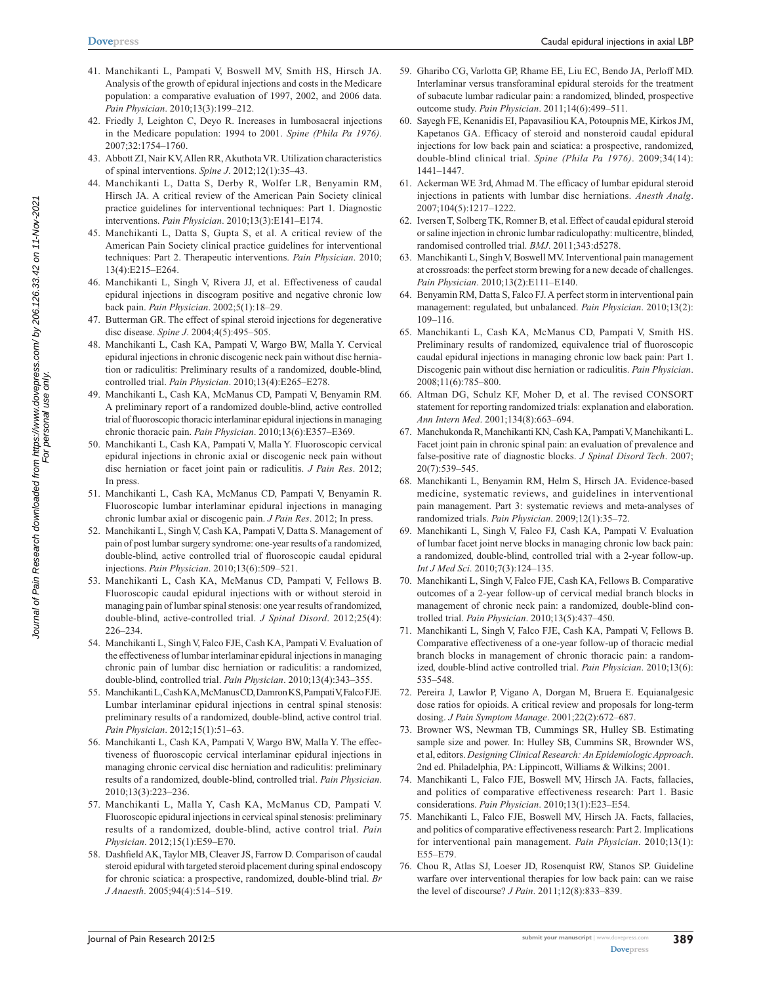- **[Dovepress](www.dovepress.com)**
- 41. Manchikanti L, Pampati V, Boswell MV, Smith HS, Hirsch JA. Analysis of the growth of epidural injections and costs in the Medicare population: a comparative evaluation of 1997, 2002, and 2006 data. *Pain Physician*. 2010;13(3):199–212.
- 42. Friedly J, Leighton C, Deyo R. Increases in lumbosacral injections in the Medicare population: 1994 to 2001. *Spine (Phila Pa 1976)*. 2007;32:1754–1760.
- 43. Abbott ZI, Nair KV, Allen RR, Akuthota VR. Utilization characteristics of spinal interventions. *Spine J*. 2012;12(1):35–43.
- 44. Manchikanti L, Datta S, Derby R, Wolfer LR, Benyamin RM, Hirsch JA. A critical review of the American Pain Society clinical practice guidelines for interventional techniques: Part 1. Diagnostic interventions. *Pain Physician*. 2010;13(3):E141–E174.
- 45. Manchikanti L, Datta S, Gupta S, et al. A critical review of the American Pain Society clinical practice guidelines for interventional techniques: Part 2. Therapeutic interventions. *Pain Physician*. 2010; 13(4):E215–E264.
- 46. Manchikanti L, Singh V, Rivera JJ, et al. Effectiveness of caudal epidural injections in discogram positive and negative chronic low back pain. *Pain Physician*. 2002;5(1):18–29.
- 47. Butterman GR. The effect of spinal steroid injections for degenerative disc disease. *Spine J*. 2004;4(5):495–505.
- 48. Manchikanti L, Cash KA, Pampati V, Wargo BW, Malla Y. Cervical epidural injections in chronic discogenic neck pain without disc herniation or radiculitis: Preliminary results of a randomized, double-blind, controlled trial. *Pain Physician*. 2010;13(4):E265–E278.
- 49. Manchikanti L, Cash KA, McManus CD, Pampati V, Benyamin RM. A preliminary report of a randomized double-blind, active controlled trial of fluoroscopic thoracic interlaminar epidural injections in managing chronic thoracic pain. *Pain Physician*. 2010;13(6):E357–E369.
- 50. Manchikanti L, Cash KA, Pampati V, Malla Y. Fluoroscopic cervical epidural injections in chronic axial or discogenic neck pain without disc herniation or facet joint pain or radiculitis. *J Pain Res*. 2012; In press.
- 51. Manchikanti L, Cash KA, McManus CD, Pampati V, Benyamin R. Fluoroscopic lumbar interlaminar epidural injections in managing chronic lumbar axial or discogenic pain. *J Pain Res*. 2012; In press.
- 52. Manchikanti L, Singh V, Cash KA, Pampati V, Datta S. Management of pain of post lumbar surgery syndrome: one-year results of a randomized, double-blind, active controlled trial of fluoroscopic caudal epidural injections. *Pain Physician*. 2010;13(6):509–521.
- 53. Manchikanti L, Cash KA, McManus CD, Pampati V, Fellows B. Fluoroscopic caudal epidural injections with or without steroid in managing pain of lumbar spinal stenosis: one year results of randomized, double-blind, active-controlled trial. *J Spinal Disord*. 2012;25(4): 226–234.
- 54. Manchikanti L, Singh V, Falco FJE, Cash KA, Pampati V. Evaluation of the effectiveness of lumbar interlaminar epidural injections in managing chronic pain of lumbar disc herniation or radiculitis: a randomized, double-blind, controlled trial. *Pain Physician*. 2010;13(4):343–355.
- 55. Manchikanti L, Cash KA, McManus CD, Damron KS, Pampati V, Falco FJE. Lumbar interlaminar epidural injections in central spinal stenosis: preliminary results of a randomized, double-blind, active control trial. *Pain Physician*. 2012;15(1):51–63.
- 56. Manchikanti L, Cash KA, Pampati V, Wargo BW, Malla Y. The effectiveness of fluoroscopic cervical interlaminar epidural injections in managing chronic cervical disc herniation and radiculitis: preliminary results of a randomized, double-blind, controlled trial. *Pain Physician*. 2010;13(3):223–236.
- 57. Manchikanti L, Malla Y, Cash KA, McManus CD, Pampati V. Fluoroscopic epidural injections in cervical spinal stenosis: preliminary results of a randomized, double-blind, active control trial. *Pain Physician*. 2012;15(1):E59–E70.
- 58. Dashfield AK, Taylor MB, Cleaver JS, Farrow D. Comparison of caudal steroid epidural with targeted steroid placement during spinal endoscopy for chronic sciatica: a prospective, randomized, double-blind trial. *Br J Anaesth*. 2005;94(4):514–519.
- 59. Gharibo CG, Varlotta GP, Rhame EE, Liu EC, Bendo JA, Perloff MD. Interlaminar versus transforaminal epidural steroids for the treatment of subacute lumbar radicular pain: a randomized, blinded, prospective outcome study. *Pain Physician*. 2011;14(6):499–511.
- 60. Sayegh FE, Kenanidis EI, Papavasiliou KA, Potoupnis ME, Kirkos JM, Kapetanos GA. Efficacy of steroid and nonsteroid caudal epidural injections for low back pain and sciatica: a prospective, randomized, double-blind clinical trial. *Spine (Phila Pa 1976)*. 2009;34(14): 1441–1447.
- 61. Ackerman WE 3rd, Ahmad M. The efficacy of lumbar epidural steroid injections in patients with lumbar disc herniations. *Anesth Analg*. 2007;104(5):1217–1222.
- 62. Iversen T, Solberg TK, Romner B, et al. Effect of caudal epidural steroid or saline injection in chronic lumbar radiculopathy: multicentre, blinded, randomised controlled trial. *BMJ*. 2011;343:d5278.
- 63. Manchikanti L, Singh V, Boswell MV. Interventional pain management at crossroads: the perfect storm brewing for a new decade of challenges. *Pain Physician*. 2010;13(2):E111–E140.
- 64. Benyamin RM, Datta S, Falco FJ. A perfect storm in interventional pain management: regulated, but unbalanced. *Pain Physician*. 2010;13(2): 109–116.
- 65. Manchikanti L, Cash KA, McManus CD, Pampati V, Smith HS. Preliminary results of randomized, equivalence trial of fluoroscopic caudal epidural injections in managing chronic low back pain: Part 1. Discogenic pain without disc herniation or radiculitis. *Pain Physician*. 2008;11(6):785–800.
- 66. Altman DG, Schulz KF, Moher D, et al. The revised CONSORT statement for reporting randomized trials: explanation and elaboration. *Ann Intern Med*. 2001;134(8):663–694.
- 67. Manchukonda R, Manchikanti KN, Cash KA, Pampati V, Manchikanti L. Facet joint pain in chronic spinal pain: an evaluation of prevalence and false-positive rate of diagnostic blocks. *J Spinal Disord Tech*. 2007; 20(7):539–545.
- 68. Manchikanti L, Benyamin RM, Helm S, Hirsch JA. Evidence-based medicine, systematic reviews, and guidelines in interventional pain management. Part 3: systematic reviews and meta-analyses of randomized trials. *Pain Physician*. 2009;12(1):35–72.
- 69. Manchikanti L, Singh V, Falco FJ, Cash KA, Pampati V. Evaluation of lumbar facet joint nerve blocks in managing chronic low back pain: a randomized, double-blind, controlled trial with a 2-year follow-up. *Int J Med Sci*. 2010;7(3):124–135.
- 70. Manchikanti L, Singh V, Falco FJE, Cash KA, Fellows B. Comparative outcomes of a 2-year follow-up of cervical medial branch blocks in management of chronic neck pain: a randomized, double-blind controlled trial. *Pain Physician*. 2010;13(5):437–450.
- 71. Manchikanti L, Singh V, Falco FJE, Cash KA, Pampati V, Fellows B. Comparative effectiveness of a one-year follow-up of thoracic medial branch blocks in management of chronic thoracic pain: a randomized, double-blind active controlled trial. *Pain Physician*. 2010;13(6): 535–548.
- 72. Pereira J, Lawlor P, Vigano A, Dorgan M, Bruera E. Equianalgesic dose ratios for opioids. A critical review and proposals for long-term dosing. *J Pain Symptom Manage*. 2001;22(2):672–687.
- 73. Browner WS, Newman TB, Cummings SR, Hulley SB. Estimating sample size and power. In: Hulley SB, Cummins SR, Brownder WS, et al, editors. *Designing Clinical Research: An Epidemiologic Approach*. 2nd ed. Philadelphia, PA: Lippincott, Williams & Wilkins; 2001.
- 74. Manchikanti L, Falco FJE, Boswell MV, Hirsch JA. Facts, fallacies, and politics of comparative effectiveness research: Part 1. Basic considerations. *Pain Physician*. 2010;13(1):E23–E54.
- 75. Manchikanti L, Falco FJE, Boswell MV, Hirsch JA. Facts, fallacies, and politics of comparative effectiveness research: Part 2. Implications for interventional pain management. *Pain Physician*. 2010;13(1): E55–E79.
- 76. Chou R, Atlas SJ, Loeser JD, Rosenquist RW, Stanos SP. Guideline warfare over interventional therapies for low back pain: can we raise the level of discourse? *J Pain*. 2011;12(8):833–839.